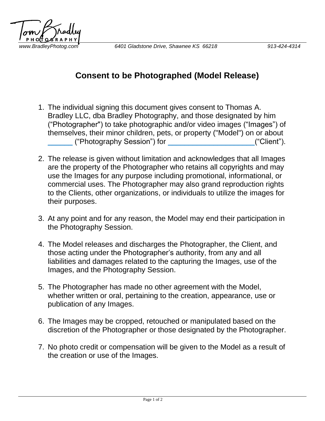

## **Consent to be Photographed (Model Release)**

- 1. The individual signing this document gives consent to Thomas A. Bradley LLC, dba Bradley Photography, and those designated by him ("Photographer") to take photographic and/or video images ("Images") of themselves, their minor children, pets, or property ("Model") on or about \_\_\_\_\_\_ ("Photography Session") for \_\_\_\_\_\_\_\_\_\_\_\_\_\_\_\_\_\_\_\_\_("Client").
- 2. The release is given without limitation and acknowledges that all Images are the property of the Photographer who retains all copyrights and may use the Images for any purpose including promotional, informational, or commercial uses. The Photographer may also grand reproduction rights to the Clients, other organizations, or individuals to utilize the images for their purposes.
- 3. At any point and for any reason, the Model may end their participation in the Photography Session.
- 4. The Model releases and discharges the Photographer, the Client, and those acting under the Photographer's authority, from any and all liabilities and damages related to the capturing the Images, use of the Images, and the Photography Session.
- 5. The Photographer has made no other agreement with the Model, whether written or oral, pertaining to the creation, appearance, use or publication of any Images.
- 6. The Images may be cropped, retouched or manipulated based on the discretion of the Photographer or those designated by the Photographer.
- 7. No photo credit or compensation will be given to the Model as a result of the creation or use of the Images.